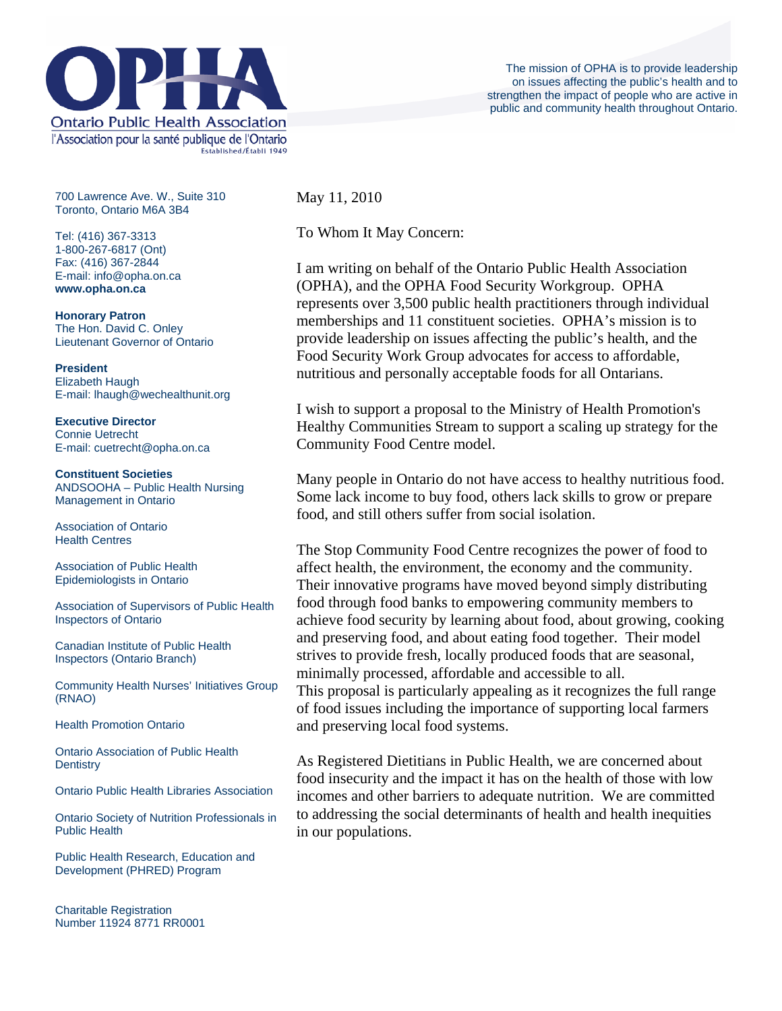

700 Lawrence Ave. W., Suite 310 Toronto, Ontario M6A 3B4

Tel: (416) 367-3313 1-800-267-6817 (Ont) Fax: (416) 367-2844 E-mail: info@opha.on.ca **www.opha.on.ca** 

**Honorary Patron**  The Hon. David C. Onley Lieutenant Governor of Ontario

**President**  Elizabeth Haugh E-mail: lhaugh@wechealthunit.org

**Executive Director**  Connie Uetrecht E-mail: cuetrecht@opha.on.ca

**Constituent Societies**  ANDSOOHA – Public Health Nursing Management in Ontario

Association of Ontario Health Centres

Association of Public Health Epidemiologists in Ontario

Association of Supervisors of Public Health Inspectors of Ontario

Canadian Institute of Public Health Inspectors (Ontario Branch)

Community Health Nurses' Initiatives Group (RNAO)

Health Promotion Ontario

Ontario Association of Public Health **Dentistry** 

Ontario Public Health Libraries Association

Ontario Society of Nutrition Professionals in Public Health

Public Health Research, Education and Development (PHRED) Program

Charitable Registration Number 11924 8771 RR0001 May 11, 2010

To Whom It May Concern:

I am writing on behalf of the Ontario Public Health Association (OPHA), and the OPHA Food Security Workgroup. OPHA represents over 3,500 public health practitioners through individual memberships and 11 constituent societies. OPHA's mission is to provide leadership on issues affecting the public's health, and the Food Security Work Group advocates for access to affordable, nutritious and personally acceptable foods for all Ontarians.

I wish to support a proposal to the Ministry of Health Promotion's Healthy Communities Stream to support a scaling up strategy for the Community Food Centre model.

Many people in Ontario do not have access to healthy nutritious food. Some lack income to buy food, others lack skills to grow or prepare food, and still others suffer from social isolation.

The Stop Community Food Centre recognizes the power of food to affect health, the environment, the economy and the community. Their innovative programs have moved beyond simply distributing food through food banks to empowering community members to achieve food security by learning about food, about growing, cooking and preserving food, and about eating food together. Their model strives to provide fresh, locally produced foods that are seasonal, minimally processed, affordable and accessible to all. This proposal is particularly appealing as it recognizes the full range of food issues including the importance of supporting local farmers and preserving local food systems.

As Registered Dietitians in Public Health, we are concerned about food insecurity and the impact it has on the health of those with low incomes and other barriers to adequate nutrition. We are committed to addressing the social determinants of health and health inequities in our populations.